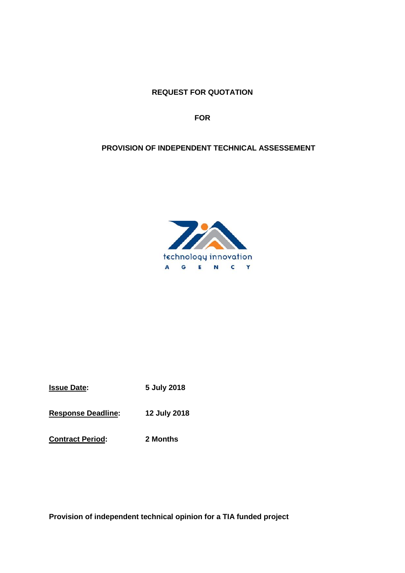**REQUEST FOR QUOTATION**

**FOR**

# **PROVISION OF INDEPENDENT TECHNICAL ASSESSEMENT**



| <b>Issue Date:</b> | 5 July 2018 |
|--------------------|-------------|
|                    |             |

**Response Deadline: 12 July 2018**

**Contract Period: 2 Months**

**Provision of independent technical opinion for a TIA funded project**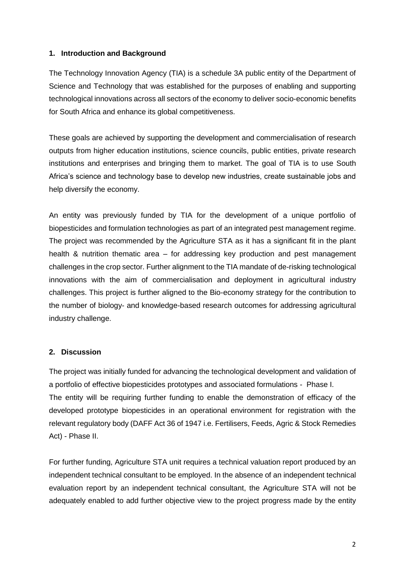#### **1. Introduction and Background**

The Technology Innovation Agency (TIA) is a schedule 3A public entity of the Department of Science and Technology that was established for the purposes of enabling and supporting technological innovations across all sectors of the economy to deliver socio-economic benefits for South Africa and enhance its global competitiveness.

These goals are achieved by supporting the development and commercialisation of research outputs from higher education institutions, science councils, public entities, private research institutions and enterprises and bringing them to market. The goal of TIA is to use South Africa's science and technology base to develop new industries, create sustainable jobs and help diversify the economy.

An entity was previously funded by TIA for the development of a unique portfolio of biopesticides and formulation technologies as part of an integrated pest management regime. The project was recommended by the Agriculture STA as it has a significant fit in the plant health & nutrition thematic area – for addressing key production and pest management challenges in the crop sector. Further alignment to the TIA mandate of de-risking technological innovations with the aim of commercialisation and deployment in agricultural industry challenges. This project is further aligned to the Bio-economy strategy for the contribution to the number of biology- and knowledge-based research outcomes for addressing agricultural industry challenge.

#### **2. Discussion**

The project was initially funded for advancing the technological development and validation of a portfolio of effective biopesticides prototypes and associated formulations - Phase I. The entity will be requiring further funding to enable the demonstration of efficacy of the developed prototype biopesticides in an operational environment for registration with the relevant regulatory body (DAFF Act 36 of 1947 i.e. Fertilisers, Feeds, Agric & Stock Remedies Act) - Phase II.

For further funding, Agriculture STA unit requires a technical valuation report produced by an independent technical consultant to be employed. In the absence of an independent technical evaluation report by an independent technical consultant, the Agriculture STA will not be adequately enabled to add further objective view to the project progress made by the entity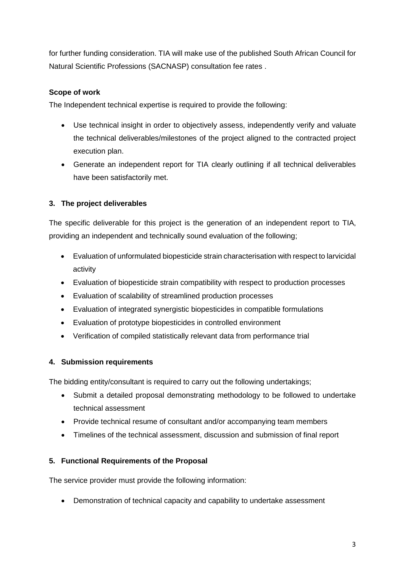for further funding consideration. TIA will make use of the published South African Council for Natural Scientific Professions (SACNASP) consultation fee rates .

### **Scope of work**

The Independent technical expertise is required to provide the following:

- Use technical insight in order to objectively assess, independently verify and valuate the technical deliverables/milestones of the project aligned to the contracted project execution plan.
- Generate an independent report for TIA clearly outlining if all technical deliverables have been satisfactorily met.

## **3. The project deliverables**

The specific deliverable for this project is the generation of an independent report to TIA, providing an independent and technically sound evaluation of the following;

- Evaluation of unformulated biopesticide strain characterisation with respect to larvicidal activity
- Evaluation of biopesticide strain compatibility with respect to production processes
- Evaluation of scalability of streamlined production processes
- Evaluation of integrated synergistic biopesticides in compatible formulations
- Evaluation of prototype biopesticides in controlled environment
- Verification of compiled statistically relevant data from performance trial

### **4. Submission requirements**

The bidding entity/consultant is required to carry out the following undertakings;

- Submit a detailed proposal demonstrating methodology to be followed to undertake technical assessment
- Provide technical resume of consultant and/or accompanying team members
- Timelines of the technical assessment, discussion and submission of final report

### **5. Functional Requirements of the Proposal**

The service provider must provide the following information:

• Demonstration of technical capacity and capability to undertake assessment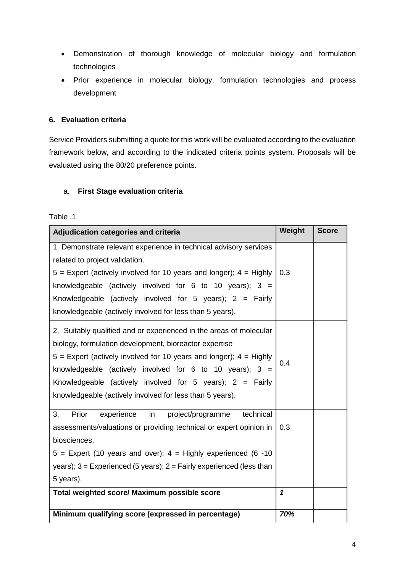- Demonstration of thorough knowledge of molecular biology and formulation technologies
- Prior experience in molecular biology, formulation technologies and process development

### **6. Evaluation criteria**

Service Providers submitting a quote for this work will be evaluated according to the evaluation framework below, and according to the indicated criteria points system. Proposals will be evaluated using the 80/20 preference points.

#### a. **First Stage evaluation criteria**

# Table .1

| Adjudication categories and criteria                                     | Weight      | <b>Score</b> |
|--------------------------------------------------------------------------|-------------|--------------|
| 1. Demonstrate relevant experience in technical advisory services        |             |              |
| related to project validation.                                           |             |              |
| $5$ = Expert (actively involved for 10 years and longer); $4$ = Highly   | 0.3         |              |
| knowledgeable (actively involved for 6 to 10 years); $3 =$               |             |              |
| Knowledgeable (actively involved for 5 years); $2 = Fairly$              |             |              |
| knowledgeable (actively involved for less than 5 years).                 |             |              |
| 2. Suitably qualified and or experienced in the areas of molecular       |             |              |
| biology, formulation development, bioreactor expertise                   |             |              |
| $5$ = Expert (actively involved for 10 years and longer); $4$ = Highly   | 0.4         |              |
| knowledgeable (actively involved for 6 to 10 years); $3 =$               |             |              |
| Knowledgeable (actively involved for 5 years); $2 = Fairly$              |             |              |
| knowledgeable (actively involved for less than 5 years).                 |             |              |
| Prior<br>3.<br>experience<br>in<br>technical<br>project/programme        |             |              |
| assessments/valuations or providing technical or expert opinion in       | 0.3         |              |
| biosciences.                                                             |             |              |
| $5$ = Expert (10 years and over); $4$ = Highly experienced (6 -10        |             |              |
| years); $3 =$ Experienced (5 years); $2 =$ Fairly experienced (less than |             |              |
| 5 years).                                                                |             |              |
| Total weighted score/ Maximum possible score                             | $\mathbf 1$ |              |
| Minimum qualifying score (expressed in percentage)                       | 70%         |              |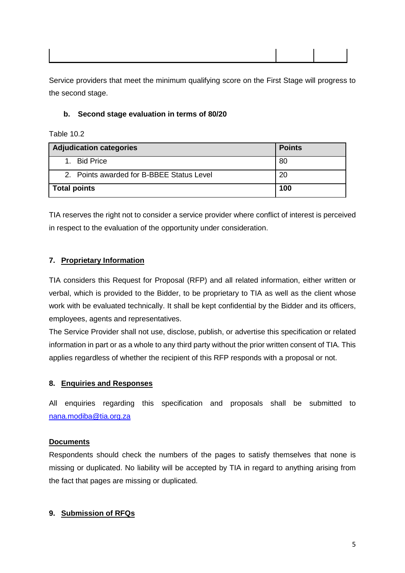Service providers that meet the minimum qualifying score on the First Stage will progress to the second stage.

### **b. Second stage evaluation in terms of 80/20**

Table 10.2

| Adjudication categories                   | <b>Points</b> |
|-------------------------------------------|---------------|
| 1. Bid Price                              | 80            |
| 2. Points awarded for B-BBEE Status Level | 20            |
| Total points                              | 100           |

TIA reserves the right not to consider a service provider where conflict of interest is perceived in respect to the evaluation of the opportunity under consideration.

# **7. Proprietary Information**

TIA considers this Request for Proposal (RFP) and all related information, either written or verbal, which is provided to the Bidder, to be proprietary to TIA as well as the client whose work with be evaluated technically. It shall be kept confidential by the Bidder and its officers, employees, agents and representatives.

The Service Provider shall not use, disclose, publish, or advertise this specification or related information in part or as a whole to any third party without the prior written consent of TIA. This applies regardless of whether the recipient of this RFP responds with a proposal or not.

### **8. Enquiries and Responses**

All enquiries regarding this specification and proposals shall be submitted to [nana.modiba@tia.org.za](mailto:nana.modiba@tia.org.za)

### **Documents**

Respondents should check the numbers of the pages to satisfy themselves that none is missing or duplicated. No liability will be accepted by TIA in regard to anything arising from the fact that pages are missing or duplicated.

### **9. Submission of RFQs**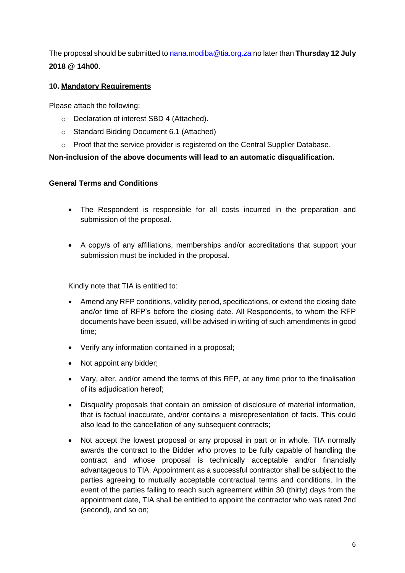The proposal should be submitted t[o nana.modiba@tia.org.za](mailto:nan.modiba@tia.org.za) no later than **Thursday 12 July 2018 @ 14h00**.

### **10. Mandatory Requirements**

Please attach the following:

- o Declaration of interest SBD 4 (Attached).
- o Standard Bidding Document 6.1 (Attached)
- o Proof that the service provider is registered on the Central Supplier Database.

### **Non-inclusion of the above documents will lead to an automatic disqualification.**

#### **General Terms and Conditions**

- The Respondent is responsible for all costs incurred in the preparation and submission of the proposal.
- A copy/s of any affiliations, memberships and/or accreditations that support your submission must be included in the proposal.

Kindly note that TIA is entitled to:

- Amend any RFP conditions, validity period, specifications, or extend the closing date and/or time of RFP's before the closing date. All Respondents, to whom the RFP documents have been issued, will be advised in writing of such amendments in good time;
- Verify any information contained in a proposal;
- Not appoint any bidder;
- Vary, alter, and/or amend the terms of this RFP, at any time prior to the finalisation of its adjudication hereof;
- Disqualify proposals that contain an omission of disclosure of material information, that is factual inaccurate, and/or contains a misrepresentation of facts. This could also lead to the cancellation of any subsequent contracts;
- Not accept the lowest proposal or any proposal in part or in whole. TIA normally awards the contract to the Bidder who proves to be fully capable of handling the contract and whose proposal is technically acceptable and/or financially advantageous to TIA. Appointment as a successful contractor shall be subject to the parties agreeing to mutually acceptable contractual terms and conditions. In the event of the parties failing to reach such agreement within 30 (thirty) days from the appointment date, TIA shall be entitled to appoint the contractor who was rated 2nd (second), and so on;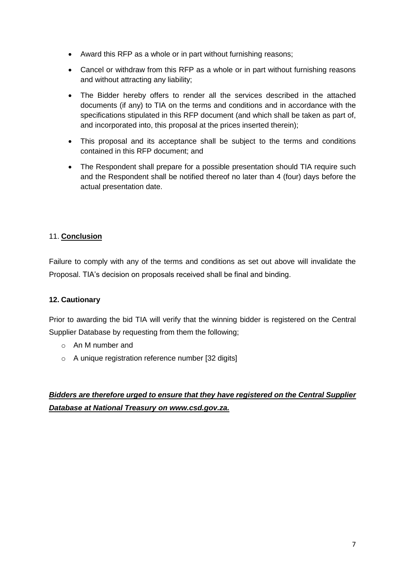- Award this RFP as a whole or in part without furnishing reasons;
- Cancel or withdraw from this RFP as a whole or in part without furnishing reasons and without attracting any liability;
- The Bidder hereby offers to render all the services described in the attached documents (if any) to TIA on the terms and conditions and in accordance with the specifications stipulated in this RFP document (and which shall be taken as part of, and incorporated into, this proposal at the prices inserted therein);
- This proposal and its acceptance shall be subject to the terms and conditions contained in this RFP document; and
- The Respondent shall prepare for a possible presentation should TIA require such and the Respondent shall be notified thereof no later than 4 (four) days before the actual presentation date.

### 11. **Conclusion**

Failure to comply with any of the terms and conditions as set out above will invalidate the Proposal. TIA's decision on proposals received shall be final and binding.

#### **12. Cautionary**

Prior to awarding the bid TIA will verify that the winning bidder is registered on the Central Supplier Database by requesting from them the following;

- o An M number and
- o A unique registration reference number [32 digits]

# *Bidders are therefore urged to ensure that they have registered on the Central Supplier Database at National Treasury on www.csd.gov.za.*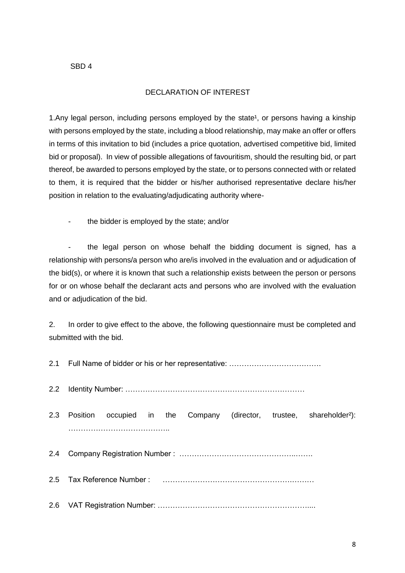### DECLARATION OF INTEREST

1.Any legal person, including persons employed by the state<sup>1</sup>, or persons having a kinship with persons employed by the state, including a blood relationship, may make an offer or offers in terms of this invitation to bid (includes a price quotation, advertised competitive bid, limited bid or proposal). In view of possible allegations of favouritism, should the resulting bid, or part thereof, be awarded to persons employed by the state, or to persons connected with or related to them, it is required that the bidder or his/her authorised representative declare his/her position in relation to the evaluating/adjudicating authority where-

the bidder is employed by the state; and/or

the legal person on whose behalf the bidding document is signed, has a relationship with persons/a person who are/is involved in the evaluation and or adjudication of the bid(s), or where it is known that such a relationship exists between the person or persons for or on whose behalf the declarant acts and persons who are involved with the evaluation and or adjudication of the bid.

2. In order to give effect to the above, the following questionnaire must be completed and submitted with the bid.

2.1 Full Name of bidder or his or her representative: ……………………………….

2.2 Identity Number: ………………………………………………………………

2.3 Position occupied in the Company (director, trustee, shareholder²): ………………………………………………

2.4 Company Registration Number : ………………………………………..…….

2.5 Tax Reference Number : …………………………………………….………

2.6 VAT Registration Number: ……………………………………………………....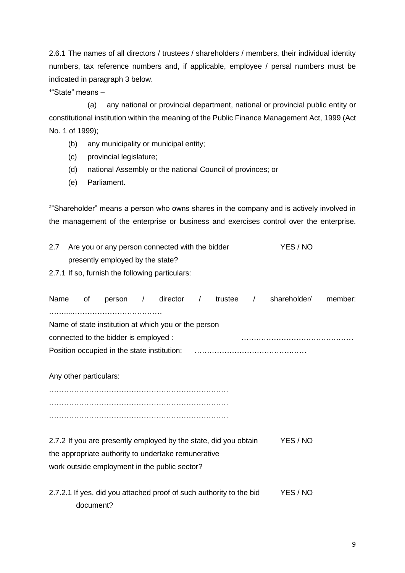2.6.1 The names of all directors / trustees / shareholders / members, their individual identity numbers, tax reference numbers and, if applicable, employee / persal numbers must be indicated in paragraph 3 below.

 $1^{\circ}$ State" means –

 (a) any national or provincial department, national or provincial public entity or constitutional institution within the meaning of the Public Finance Management Act, 1999 (Act No. 1 of 1999);

- (b) any municipality or municipal entity;
- (c) provincial legislature;
- (d) national Assembly or the national Council of provinces; or
- (e) Parliament.

²"Shareholder" means a person who owns shares in the company and is actively involved in the management of the enterprise or business and exercises control over the enterprise.

| 2.7 | Are you or any person connected with the bidder | YES / NO |
|-----|-------------------------------------------------|----------|
|     | presently employed by the state?                |          |

2.7.1 If so, furnish the following particulars:

| Name                   | of        | person /                                                                                                                                                                 | director | $\sqrt{2}$ | trustee / | shareholder/ | member: |
|------------------------|-----------|--------------------------------------------------------------------------------------------------------------------------------------------------------------------------|----------|------------|-----------|--------------|---------|
|                        |           | Name of state institution at which you or the person                                                                                                                     |          |            |           |              |         |
|                        |           | connected to the bidder is employed :                                                                                                                                    |          |            |           |              |         |
|                        |           |                                                                                                                                                                          |          |            |           |              |         |
| Any other particulars: |           |                                                                                                                                                                          |          |            |           |              |         |
|                        |           |                                                                                                                                                                          |          |            |           |              |         |
|                        |           |                                                                                                                                                                          |          |            |           |              |         |
|                        |           | 2.7.2 If you are presently employed by the state, did you obtain<br>the appropriate authority to undertake remunerative<br>work outside employment in the public sector? |          |            |           | YES / NO     |         |
|                        | document? | 2.7.2.1 If yes, did you attached proof of such authority to the bid                                                                                                      |          |            |           | YES / NO     |         |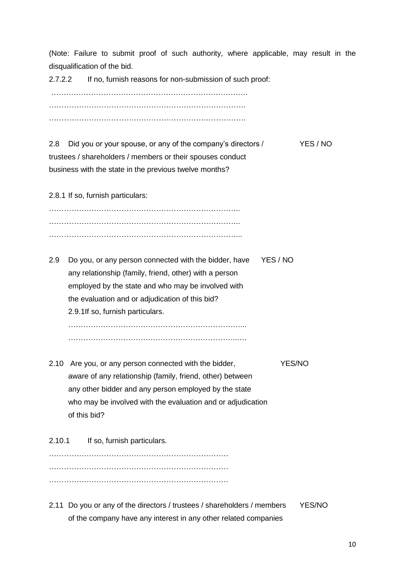(Note: Failure to submit proof of such authority, where applicable, may result in the disqualification of the bid.

2.7.2.2 If no, furnish reasons for non-submission of such proof:

……………………………………………………………………. ……………………………………………………………………. …………………………………………………………………….

| 2.8 Did you or your spouse, or any of the company's directors / | YES / NO |
|-----------------------------------------------------------------|----------|
| trustees / shareholders / members or their spouses conduct      |          |
| business with the state in the previous twelve months?          |          |

2.8.1 If so, furnish particulars:

………………………………………………………………….. ………………………………………………………………….. …………………………………………………………………...

2.9 Do you, or any person connected with the bidder, have YES / NO any relationship (family, friend, other) with a person employed by the state and who may be involved with the evaluation and or adjudication of this bid? 2.9.1If so, furnish particulars. ……………………………………………………………...

…………………………………………………………..….

- 2.10 Are you, or any person connected with the bidder, YES/NO aware of any relationship (family, friend, other) between any other bidder and any person employed by the state who may be involved with the evaluation and or adjudication of this bid?
- 2.10.1 If so, furnish particulars. ………………………………………………………………  $\mathbb{R}^n$  . The contract of the contract of the contract of the contract of the contract of the contract of the contract of the contract of the contract of the contract of the contract of the contract of the contract of ………………………………………………………………
- 2.11 Do you or any of the directors / trustees / shareholders / members YES/NO of the company have any interest in any other related companies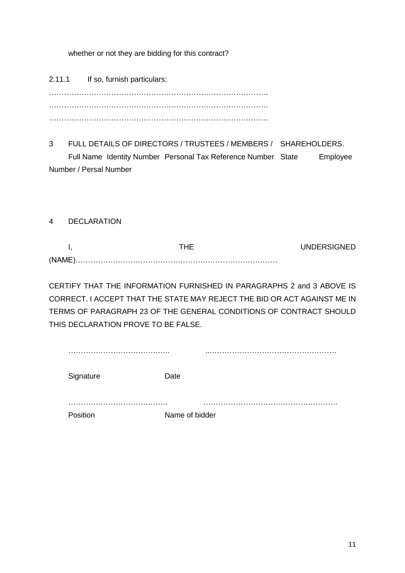whether or not they are bidding for this contract?

2.11.1 If so, furnish particulars: ……………………………………………………………………………. ……………………………………………………………………………. …………………………………………………………………………….

3 FULL DETAILS OF DIRECTORS / TRUSTEES / MEMBERS / SHAREHOLDERS. Full Name Identity Number Personal Tax Reference Number State Employee Number / Persal Number

4 DECLARATION

I, the three of the UNDERSIGNED of the UNDERSIGNED (NAME)………………………………………………………………………

CERTIFY THAT THE INFORMATION FURNISHED IN PARAGRAPHS 2 and 3 ABOVE IS CORRECT. I ACCEPT THAT THE STATE MAY REJECT THE BID OR ACT AGAINST ME IN TERMS OF PARAGRAPH 23 OF THE GENERAL CONDITIONS OF CONTRACT SHOULD THIS DECLARATION PROVE TO BE FALSE.

| Signature | Date           |
|-----------|----------------|
| Position  | Name of bidder |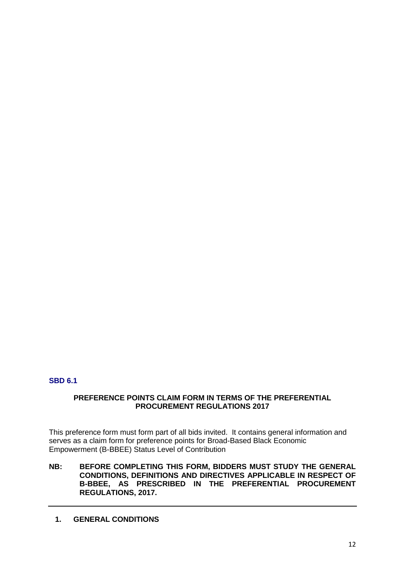### **SBD 6.1**

#### **PREFERENCE POINTS CLAIM FORM IN TERMS OF THE PREFERENTIAL PROCUREMENT REGULATIONS 2017**

This preference form must form part of all bids invited. It contains general information and serves as a claim form for preference points for Broad-Based Black Economic Empowerment (B-BBEE) Status Level of Contribution

**NB: BEFORE COMPLETING THIS FORM, BIDDERS MUST STUDY THE GENERAL CONDITIONS, DEFINITIONS AND DIRECTIVES APPLICABLE IN RESPECT OF B-BBEE, AS PRESCRIBED IN THE PREFERENTIAL PROCUREMENT REGULATIONS, 2017.** 

**1. GENERAL CONDITIONS**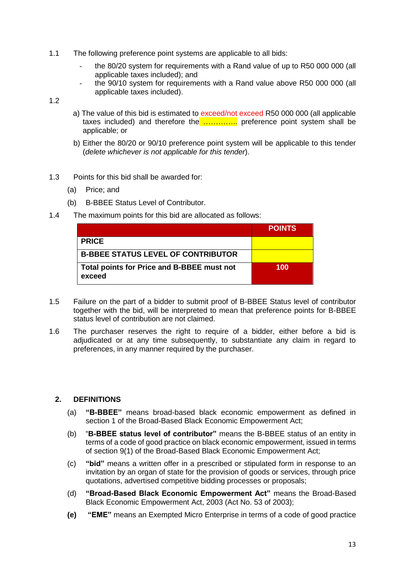- 1.1 The following preference point systems are applicable to all bids:
	- the 80/20 system for requirements with a Rand value of up to R50 000 000 (all applicable taxes included); and
	- the 90/10 system for requirements with a Rand value above R50 000 000 (all applicable taxes included).

1.2

- a) The value of this bid is estimated to exceed/not exceed R50 000 000 (all applicable taxes included) and therefore the ................. preference point system shall be applicable; or
- b) Either the 80/20 or 90/10 preference point system will be applicable to this tender (*delete whichever is not applicable for this tender*).
- 1.3 Points for this bid shall be awarded for:
	- (a) Price; and
	- (b) B-BBEE Status Level of Contributor.
- 1.4 The maximum points for this bid are allocated as follows:

|                                                      | <b>POINTS</b> |
|------------------------------------------------------|---------------|
| <b>PRICE</b>                                         |               |
| <b>B-BBEE STATUS LEVEL OF CONTRIBUTOR</b>            |               |
| Total points for Price and B-BBEE must not<br>exceed | 100           |

- 1.5 Failure on the part of a bidder to submit proof of B-BBEE Status level of contributor together with the bid, will be interpreted to mean that preference points for B-BBEE status level of contribution are not claimed.
- 1.6 The purchaser reserves the right to require of a bidder, either before a bid is adjudicated or at any time subsequently, to substantiate any claim in regard to preferences, in any manner required by the purchaser.

#### **2. DEFINITIONS**

- (a) **"B-BBEE"** means broad-based black economic empowerment as defined in section 1 of the Broad-Based Black Economic Empowerment Act;
- (b) "**B-BBEE status level of contributor"** means the B-BBEE status of an entity in terms of a code of good practice on black economic empowerment, issued in terms of section 9(1) of the Broad-Based Black Economic Empowerment Act;
- (c) **"bid"** means a written offer in a prescribed or stipulated form in response to an invitation by an organ of state for the provision of goods or services, through price quotations, advertised competitive bidding processes or proposals;
- (d) **"Broad-Based Black Economic Empowerment Act"** means the Broad-Based Black Economic Empowerment Act, 2003 (Act No. 53 of 2003);
- **(e) "EME"** means an Exempted Micro Enterprise in terms of a code of good practice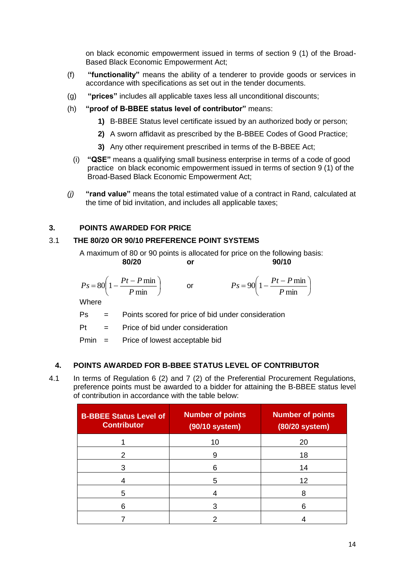on black economic empowerment issued in terms of section 9 (1) of the Broad-Based Black Economic Empowerment Act;

- (f) **"functionality"** means the ability of a tenderer to provide goods or services in accordance with specifications as set out in the tender documents.
- (g) **"prices"** includes all applicable taxes less all unconditional discounts;
- (h) **"proof of B-BBEE status level of contributor"** means:
	- **1)** B-BBEE Status level certificate issued by an authorized body or person;
	- **2)** A sworn affidavit as prescribed by the B-BBEE Codes of Good Practice;
	- **3)** Any other requirement prescribed in terms of the B-BBEE Act;
	- (i) **"QSE"** means a qualifying small business enterprise in terms of a code of good practice on black economic empowerment issued in terms of section 9 (1) of the Broad-Based Black Economic Empowerment Act;
- *(j)* **"rand value"** means the total estimated value of a contract in Rand, calculated at the time of bid invitation, and includes all applicable taxes;

#### **3. POINTS AWARDED FOR PRICE**

#### 3.1 **THE 80/20 OR 90/10 PREFERENCE POINT SYSTEMS**

A maximum of 80 or 90 points is allocated for price on the following basis: **80/20 or 90/10**

$$
Ps = 80 \left( 1 - \frac{Pt - P \min}{P \min} \right)
$$

$$
Ps = 90 \left( 1 - \frac{Pt - P \min P}{ \min} \right)
$$

 $\overline{\phantom{a}}$ 

**Where** 

Ps = Points scored for price of bid under consideration

or

 $Pt =$  Price of bid under consideration

I J  $\backslash$ 

Pmin = Price of lowest acceptable bid

## **4. POINTS AWARDED FOR B-BBEE STATUS LEVEL OF CONTRIBUTOR**

4.1 In terms of Regulation 6 (2) and 7 (2) of the Preferential Procurement Regulations, preference points must be awarded to a bidder for attaining the B-BBEE status level of contribution in accordance with the table below:

| <b>B-BBEE Status Level of</b><br><b>Contributor</b> | <b>Number of points</b><br>(90/10 system) | <b>Number of points</b><br>(80/20 system) |
|-----------------------------------------------------|-------------------------------------------|-------------------------------------------|
|                                                     | 10                                        | 20                                        |
| 2                                                   | 9                                         | 18                                        |
| 3                                                   | 6                                         | 14                                        |
|                                                     | 5                                         | 12                                        |
| 5                                                   |                                           | 8                                         |
| 6                                                   |                                           | 6                                         |
|                                                     |                                           |                                           |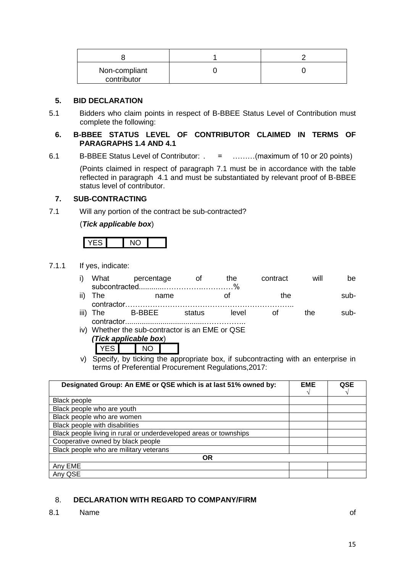| Non-compliant<br>contributor |  |
|------------------------------|--|

#### **5. BID DECLARATION**

5.1 Bidders who claim points in respect of B-BBEE Status Level of Contribution must complete the following:

#### **6. B-BBEE STATUS LEVEL OF CONTRIBUTOR CLAIMED IN TERMS OF PARAGRAPHS 1.4 AND 4.1**

6.1 B-BBEE Status Level of Contributor: . = ………(maximum of 10 or 20 points)

(Points claimed in respect of paragraph 7.1 must be in accordance with the table reflected in paragraph 4.1 and must be substantiated by relevant proof of B-BBEE status level of contributor.

#### **7. SUB-CONTRACTING**

7.1 Will any portion of the contract be sub-contracted?

(*Tick applicable box*)

7.1.1 If yes, indicate:

|            | i) What percentage | – ∩t | the. | contract | will | be.  |
|------------|--------------------|------|------|----------|------|------|
|            |                    |      |      |          |      |      |
| ii) The    | name               |      |      | the      |      | sub- |
| contractor |                    |      |      |          |      |      |

- iii) The B-BBEE status level of the subcontractor......................................……………..
- iv) Whether the sub-contractor is an EME or QSE *(Tick applicable box*) YES NO

v) Specify, by ticking the appropriate box, if subcontracting with an enterprise in terms of Preferential Procurement Regulations,2017:

| Designated Group: An EME or QSE which is at last 51% owned by:    | <b>EME</b> | <b>QSE</b> |  |  |  |
|-------------------------------------------------------------------|------------|------------|--|--|--|
| Black people                                                      |            |            |  |  |  |
| Black people who are youth                                        |            |            |  |  |  |
| Black people who are women                                        |            |            |  |  |  |
| Black people with disabilities                                    |            |            |  |  |  |
| Black people living in rural or underdeveloped areas or townships |            |            |  |  |  |
| Cooperative owned by black people                                 |            |            |  |  |  |
| Black people who are military veterans                            |            |            |  |  |  |
| <b>OR</b>                                                         |            |            |  |  |  |
| Any EME                                                           |            |            |  |  |  |
| Any QSE                                                           |            |            |  |  |  |

### 8. **DECLARATION WITH REGARD TO COMPANY/FIRM**

8.1 Name of the state of the state of the state of the state of the state of the state of the state of the state of the state of the state of the state of the state of the state of the state of the state of the state of th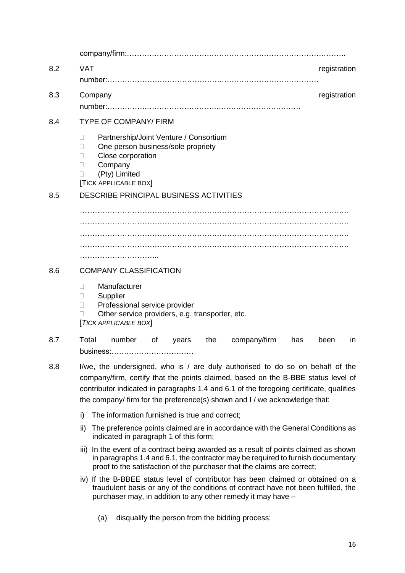company/firm:……………………………………………………………………………. 8.2 VAT **VAT** 8.2 VAT number:……………………………………….………………………………… 8.3 Company **6.3** Company **1.1** Company **6.3** Company **1.1** Company **1.1** Company **1.1** Company **1.1** Company **1.1** Company **1.1** Company **1.1** Company **1.1** Company **1.1** Company **1.1** Company **1.1** Company **1.1** Company number:…………….……………………….……………………………. 8.4 TYPE OF COMPANY/ FIRM □ Partnership/Joint Venture / Consortium □ One person business/sole propriety **Close corporation** D Company (Pty) Limited [TICK APPLICABLE BOX] 8.5 DESCRIBE PRINCIPAL BUSINESS ACTIVITIES ……………………………………………………………………………………………… ………………………………………………………………………………………………  $\mathcal{L}^{\text{max}}$ ………………………….. 8.6 COMPANY CLASSIFICATION Manufacturer □ Supplier □ Professional service provider □ Other service providers, e.g. transporter, etc. [*TICK APPLICABLE BOX*] 8.7 Total number of years the company/firm has been in business:…………………………… 8.8 I/we, the undersigned, who is / are duly authorised to do so on behalf of the company/firm, certify that the points claimed, based on the B-BBE status level of contributor indicated in paragraphs 1.4 and 6.1 of the foregoing certificate, qualifies the company/ firm for the preference(s) shown and I / we acknowledge that: i) The information furnished is true and correct; ii) The preference points claimed are in accordance with the General Conditions as indicated in paragraph 1 of this form; iii) In the event of a contract being awarded as a result of points claimed as shown in paragraphs 1.4 and 6.1, the contractor may be required to furnish documentary proof to the satisfaction of the purchaser that the claims are correct; iv) If the B-BBEE status level of contributor has been claimed or obtained on a fraudulent basis or any of the conditions of contract have not been fulfilled, the purchaser may, in addition to any other remedy it may have –

(a) disqualify the person from the bidding process;